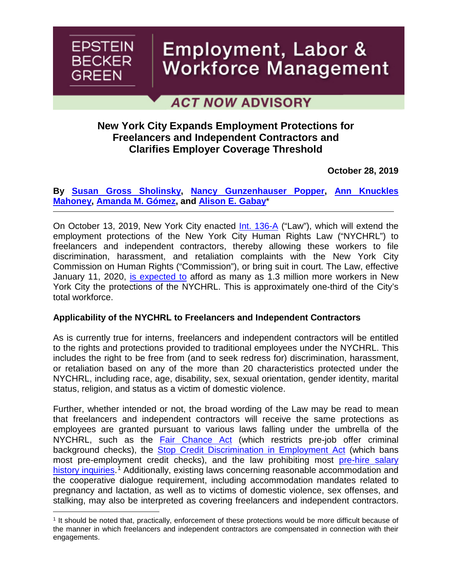

 $\overline{a}$ 

# Employment, Labor & **Workforce Management**

**ACT NOW ADVISORY** 

## **New York City Expands Employment Protections for Freelancers and Independent Contractors and Clarifies Employer Coverage Threshold**

**October 28, 2019**

**By [Susan Gross Sholinsky,](https://www.ebglaw.com/susan-gross-sholinsky/) [Nancy Gunzenhauser Popper,](https://www.ebglaw.com/nancy-gunzenhauser-popper/) [Ann Knuckles](https://www.ebglaw.com/ann-knuckles-mahoney/)  [Mahoney,](https://www.ebglaw.com/ann-knuckles-mahoney/) [Amanda M. Gómez,](https://www.ebglaw.com/amanda-m-gomez/) and [Alison E. Gabay](https://www.ebglaw.com/alison-e-gabay/)**\*

On October 13, 2019, New York City enacted [Int. 136-A](https://legistar.council.nyc.gov/LegislationDetail.aspx?ID=3331739&GUID=216BE991-3C48-48E0-A57C-0D06D51C0C29) ("Law"), which will extend the employment protections of the New York City Human Rights Law ("NYCHRL") to freelancers and independent contractors, thereby allowing these workers to file discrimination, harassment, and retaliation complaints with the New York City Commission on Human Rights ("Commission"), or bring suit in court. The Law, effective January 11, 2020, [is expected to](https://legistar.council.nyc.gov/View.ashx?M=F&ID=7719281&GUID=597AAF98-9BC4-4ADB-8196-8B60FFA78EB6) afford as many as 1.3 million more workers in New York City the protections of the NYCHRL. This is approximately one-third of the City's total workforce.

#### **Applicability of the NYCHRL to Freelancers and Independent Contractors**

As is currently true for interns, freelancers and independent contractors will be entitled to the rights and protections provided to traditional employees under the NYCHRL. This includes the right to be free from (and to seek redress for) discrimination, harassment, or retaliation based on any of the more than 20 characteristics protected under the NYCHRL, including race, age, disability, sex, sexual orientation, gender identity, marital status, religion, and status as a victim of domestic violence.

Further, whether intended or not, the broad wording of the Law may be read to mean that freelancers and independent contractors will receive the same protections as employees are granted pursuant to various laws falling under the umbrella of the NYCHRL, such as the [Fair Chance Act](https://www.ebglaw.com/news/new-york-city-finalizes-rules-to-interpret-the-fair-chance-act/) (which restricts pre-job offer criminal background checks), the [Stop Credit Discrimination in Employment Act](https://www.ebglaw.com/news/now-that-new-york-city%e2%80%99s-credit-check-and-%e2%80%9cban-the-box%e2%80%9d-laws-are-in-effect-how-do-employers-comply/) (which bans most pre-employment credit checks), and the law prohibiting most [pre-hire salary](https://www.ebglaw.com/news/new-york-citys-impending-salary-history-inquiry-ban-what-you-need-to-know/)  [history inquiries.](https://www.ebglaw.com/news/new-york-citys-impending-salary-history-inquiry-ban-what-you-need-to-know/)<sup>[1](#page-0-0)</sup> Additionally, existing laws concerning reasonable accommodation and the cooperative dialogue requirement, including accommodation mandates related to pregnancy and lactation, as well as to victims of domestic violence, sex offenses, and stalking, may also be interpreted as covering freelancers and independent contractors.

<span id="page-0-0"></span><sup>1</sup> It should be noted that, practically, enforcement of these protections would be more difficult because of the manner in which freelancers and independent contractors are compensated in connection with their engagements.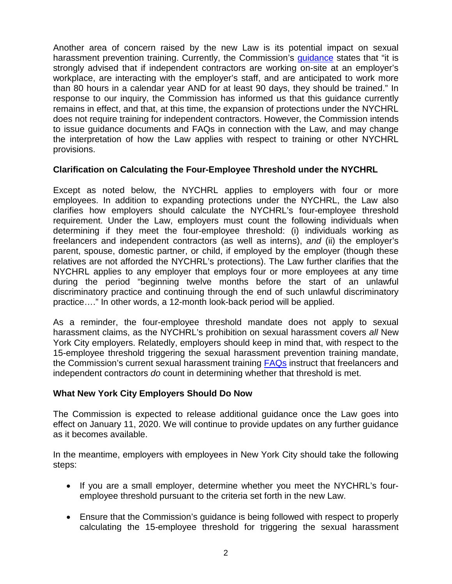Another area of concern raised by the new Law is its potential impact on sexual harassment prevention training. Currently, the Commission's quidance states that "it is strongly advised that if independent contractors are working on-site at an employer's workplace, are interacting with the employer's staff, and are anticipated to work more than 80 hours in a calendar year AND for at least 90 days, they should be trained." In response to our inquiry, the Commission has informed us that this guidance currently remains in effect, and that, at this time, the expansion of protections under the NYCHRL does not require training for independent contractors. However, the Commission intends to issue guidance documents and FAQs in connection with the Law, and may change the interpretation of how the Law applies with respect to training or other NYCHRL provisions.

#### **Clarification on Calculating the Four-Employee Threshold under the NYCHRL**

Except as noted below, the NYCHRL applies to employers with four or more employees. In addition to expanding protections under the NYCHRL, the Law also clarifies how employers should calculate the NYCHRL's four-employee threshold requirement. Under the Law, employers must count the following individuals when determining if they meet the four-employee threshold: (i) individuals working as freelancers and independent contractors (as well as interns), *and* (ii) the employer's parent, spouse, domestic partner, or child, if employed by the employer (though these relatives are not afforded the NYCHRL's protections). The Law further clarifies that the NYCHRL applies to any employer that employs four or more employees at any time during the period "beginning twelve months before the start of an unlawful discriminatory practice and continuing through the end of such unlawful discriminatory practice…." In other words, a 12-month look-back period will be applied.

As a reminder, the four-employee threshold mandate does not apply to sexual harassment claims, as the NYCHRL's prohibition on sexual harassment covers *all* New York City employers. Relatedly, employers should keep in mind that, with respect to the 15-employee threshold triggering the sexual harassment prevention training mandate, the Commission's current sexual harassment training [FAQs](https://www1.nyc.gov/site/cchr/law/sexual-harassment-training-faqs.page) instruct that freelancers and independent contractors *do* count in determining whether that threshold is met.

### **What New York City Employers Should Do Now**

The Commission is expected to release additional guidance once the Law goes into effect on January 11, 2020. We will continue to provide updates on any further guidance as it becomes available.

In the meantime, employers with employees in New York City should take the following steps:

- If you are a small employer, determine whether you meet the NYCHRL's fouremployee threshold pursuant to the criteria set forth in the new Law.
- Ensure that the Commission's guidance is being followed with respect to properly calculating the 15-employee threshold for triggering the sexual harassment